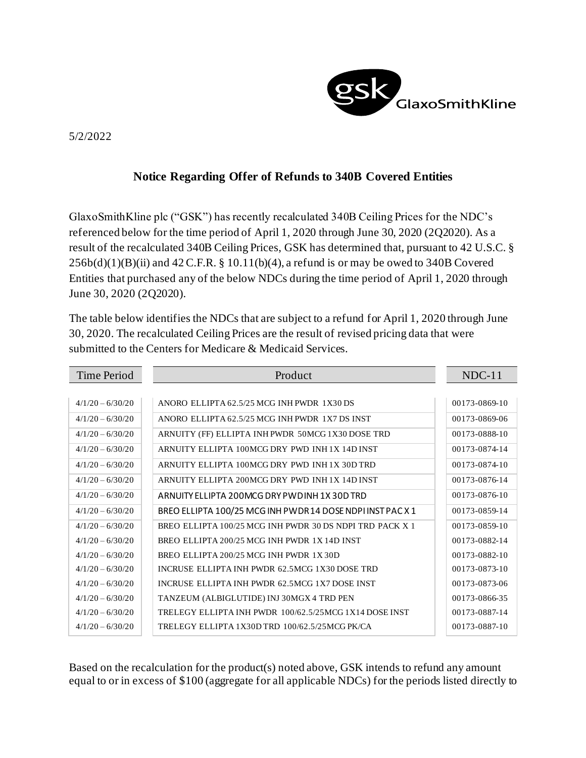

## 5/2/2022

## **Notice Regarding Offer of Refunds to 340B Covered Entities**

GlaxoSmithKline plc ("GSK") has recently recalculated 340B Ceiling Prices for the NDC's referenced below for the time period of April 1, 2020 through June 30, 2020 (2Q2020). As a result of the recalculated 340B Ceiling Prices, GSK has determined that, pursuant to 42 U.S.C. §  $256b(d)(1)(B)(ii)$  and  $42$  C.F.R. § 10.11(b)(4), a refund is or may be owed to 340B Covered Entities that purchased any of the below NDCs during the time period of April 1, 2020 through June 30, 2020 (2Q2020).

The table below identifies the NDCs that are subject to a refund for April 1, 2020 through June 30, 2020. The recalculated Ceiling Prices are the result of revised pricing data that were submitted to the Centers for Medicare & Medicaid Services.

| Time Period        | Product                                                   | $NDC-11$      |
|--------------------|-----------------------------------------------------------|---------------|
|                    |                                                           |               |
| $4/1/20 - 6/30/20$ | ANORO ELLIPTA 62.5/25 MCG INH PWDR 1X30 DS                | 00173-0869-10 |
| $4/1/20 - 6/30/20$ | ANORO ELLIPTA 62.5/25 MCG INH PWDR 1X7 DS INST            | 00173-0869-06 |
| $4/1/20 - 6/30/20$ | ARNUITY (FF) ELLIPTA INH PWDR 50MCG 1X30 DOSE TRD         | 00173-0888-10 |
| $4/1/20 - 6/30/20$ | ARNUITY ELLIPTA 100MCG DRY PWD INH 1X 14D INST            | 00173-0874-14 |
| $4/1/20 - 6/30/20$ | ARNUITY ELLIPTA 100MCG DRY PWD INH 1X 30D TRD             | 00173-0874-10 |
| $4/1/20 - 6/30/20$ | ARNUITY ELLIPTA 200MCG DRY PWD INH 1X 14D INST            | 00173-0876-14 |
| $4/1/20 - 6/30/20$ | ARNUITY ELLIPTA 200MCG DRY PWD INH 1X 30D TRD             | 00173-0876-10 |
| $4/1/20 - 6/30/20$ | BREO ELLIPTA 100/25 MCG INH PWDR14 DOSE NDPI INST PAC X 1 | 00173-0859-14 |
| $4/1/20 - 6/30/20$ | BREO ELLIPTA 100/25 MCG INH PWDR 30 DS NDPI TRD PACK X 1  | 00173-0859-10 |
| $4/1/20 - 6/30/20$ | BREO ELLIPTA 200/25 MCG INH PWDR 1X 14D INST              | 00173-0882-14 |
| $4/1/20 - 6/30/20$ | BREO ELLIPTA 200/25 MCG INH PWDR 1X 30D                   | 00173-0882-10 |
| $4/1/20 - 6/30/20$ | INCRUSE ELLIPTA INH PWDR 62.5MCG 1X30 DOSE TRD            | 00173-0873-10 |
| $4/1/20 - 6/30/20$ | INCRUSE ELLIPTA INH PWDR 62.5MCG 1X7 DOSE INST            | 00173-0873-06 |
| $4/1/20 - 6/30/20$ | TANZEUM (ALBIGLUTIDE) INJ 30MGX 4 TRD PEN                 | 00173-0866-35 |
| $4/1/20 - 6/30/20$ | TRELEGY ELLIPTA INH PWDR 100/62.5/25MCG 1X14 DOSE INST    | 00173-0887-14 |
| $4/1/20 - 6/30/20$ | TRELEGY ELLIPTA 1X30D TRD 100/62.5/25MCG PK/CA            | 00173-0887-10 |

Based on the recalculation for the product(s) noted above, GSK intends to refund any amount equal to or in excess of \$100 (aggregate for all applicable NDCs) for the periods listed directly to